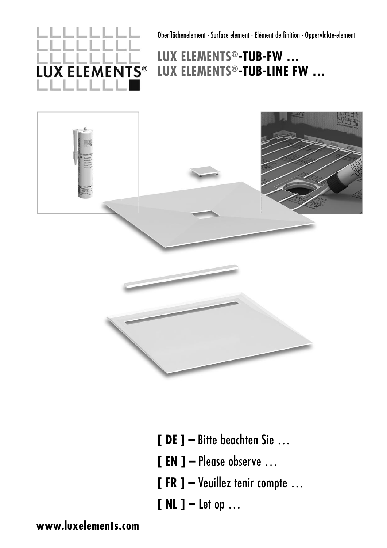**LUX ELEMENTS®** 

Oberflächenelement · Surface element · Elément de finition · Oppervlakte-element

# **LUX ELEMENTS®-TUB-FW … LUX ELEMENTS®-TUB-LINE FW …**



- **[ DE ] –** Bitte beachten Sie …
- **[ EN ] –** Please observe …
- **[ FR ] –** Veuillez tenir compte …
- **[ NL ] –** Let op …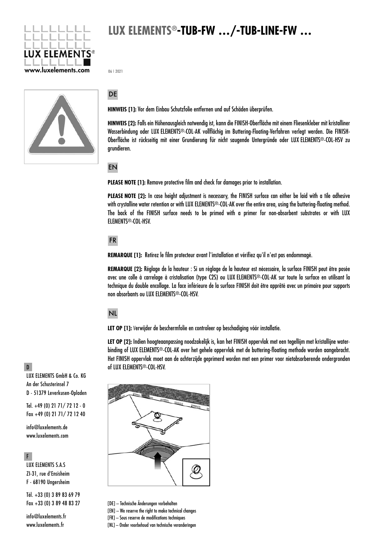

06 | 2021



### DE

**HINWEIS [1]:** Vor dem Einbau Schutzfolie entfernen und auf Schäden überprüfen.

**HINWEIS [2]:** Falls ein Höhenausgleich notwendig ist, kann die FINISH-Oberfläche mit einem Fliesenkleber mit kristalliner Wasserbindung oder LUX ELEMENTS®-COL-AK vollflächig im Buttering-Floating-Verfahren verlegt werden. Die FINISH-Ober fläche ist rückseitig mit einer Grundierung für nicht saugende Untergründe oder LUX ELEMENTS®-COL-HSV zu grundieren.

EN

**PLEASE NOTE [1]:** Remove protective film and check for damages prior to installation.

**PLEASE NOTE [2]:** In case height adjustment is necessary, the FINISH surface can either be laid with a tile adhesive with crystalline water retention or with LUX ELEMENTS®-COL-AK over the entire area, using the buttering-floating method. The back of the FINISH surface needs to be primed with a primer for non-absorbent substrates or with LUX ELEMENTS®-COL-HSV.

## FR

**REMARQUE [1]:** Retirez le film protecteur avant l'installation et vérifiez qu'il n'est pas endommagé.

**REMARQUE [2]:** Réglage de la hauteur : Si un réglage de la hauteur est nécessaire, la surface FINISH peut être posée avec une colle à carrelage à cristalisation (type C2S) ou LUX ELEMENTS®-COL-AK sur toute la surface en utilisant la technique du double encollage. La face inférieure de la surface FINISH doit être apprêté avec un primaire pour supports non absorbants ou LUX ELEMENTS®-COL-HSV.

## NL

LET OP [1]: Verwijder de beschermfolie en controleer op beschadiging vóór installatie.

**LET OP [2]:** Indien hoogteaanpassing noodzakelijk is, kan het FINISH oppervlak met een tegellijm met kristallijne waterbinding of LUX ELEMENTS®-COL-AK over het gehele oppervlak met de buttering-floating methode worden aangebracht. Het FINISH oppervlak moet aan de achterzijde geprimerd worden met een primer voor nietabsorberende ondergronden of LUX ELEMENTS®-COL-HSV.



[DE] – Technische Änderungen vorbehalten

[EN] – We reserve the right to make technical changes

[FR] – Sous reserve de modifications techniques

[NL] – Onder voorbehoud van technische veranderingen

D

LUX ELEMENTS GmbH & Co. KG An der Schusterinsel 7 D - 51379 Leverkusen-Opladen

Tel. +49 (0) 21 71/ 72 12 - 0 Fax +49 (0) 21 71/ 72 12 40

info@luxelements.de www.luxelements.com

#### F

LUX ELEMENTS S.A.S ZI-31, rue d'Ensisheim F - 68190 Ungersheim

Tél. +33 (0) 3 89 83 69 79 Fax +33 (0) 3 89 48 83 27

info@luxelements.fr www.luxelements.fr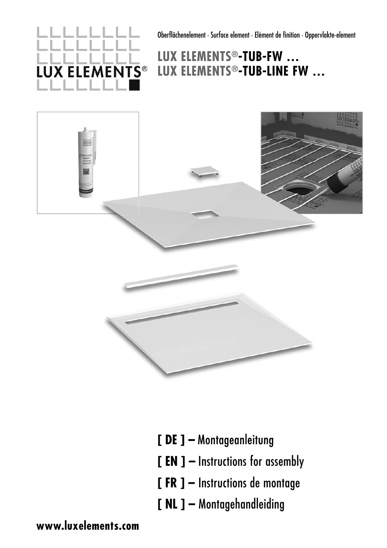**LUX ELEMENTS®** 

Oberflächenelement · Surface element · Elément de finition · Oppervlakte-element

# **LUX ELEMENTS®-TUB-FW … LUX ELEMENTS®-TUB-LINE FW …**



- **[ DE ] –** Montageanleitung
- **[ EN ] –** Instructions for assembly
- **[ FR ] –** Instructions de montage
- **[ NL ] –** Montagehandleiding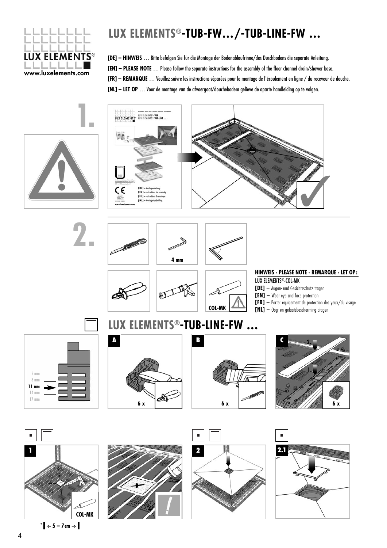

**[DE] – HINWEIS** … Bitte befolgen Sie für die Montage der Bodenablaufrinne/des Duschbodens die separate Anleitung. **[EN] – PLEASE NOTE** … Please follow the separate instructions for the assembly of the floor channel drain/shower base. **[FR] – REMARQUE** … Veuillez suivre les instructions séparées pour le montage de l'écoulement en ligne / du receveur de douche. **[NL] – LET OP** … Voor de montage van de afvoergoot/douchebodem gelieve de aparte handleiding op te volgen.







**LUX ELEMENTS®-TUB-LINE-FW …**

### **HINWEIS · PLEASE NOTE · REMARQUE · LET OP:**

LUX ELEMENTS®-COL-MK

- **[DE]**  Augen- und Gesichtsschutz tragen
- [EN] Wear eye and face protection
- **[FR]**  Porter équipement de protection des yeux/du visage
- **[NL]**  Oog- en gelaatsbescherming dragen

5 mm 8 mm **11 mm** 14 mm 17 mm





**COL-MK**





 $\mathbf{F} = \begin{bmatrix} 1 & 0 \\ 0 & -1 \end{bmatrix}$ 





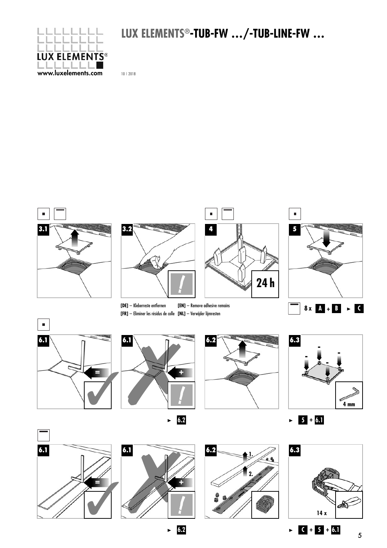

10 | 2018





**6.2**

**C + 5 + 6.1**

5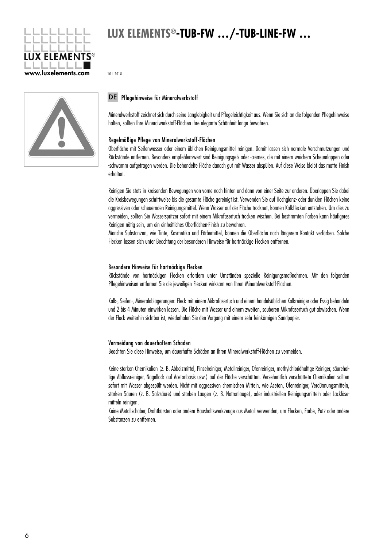

10 | 2018



### DE Pflegehinweise für Mineralwerkstoff

Mineralwerkstoff zeichnet sich durch seine Langlebigkeit und Pflegeleichtigkeit aus. Wenn Sie sich an die folgenden Pflegehinweise halten, sollten Ihre Mineralwerkstoff-Flächen ihre elegante Schönheit lange bewahren.

### Regelmäßige Pflege von Mineralwerkstoff-Flächen

Oberfläche mit Seifenwasser oder einem üblichen Reinigungsmittel reinigen. Damit lassen sich normale Verschmutzungen und Rückstände entfernen. Besonders empfehlenswert sind Reinigungsgels oder -cremes, die mit einem weichem Scheuerlappen oder -schwamm aufgetragen werden. Die behandelte Fläche danach gut mit Wasser abspülen. Auf diese Weise bleibt das matte Finish erhalten.

Reinigen Sie stets in kreisenden Bewegungen von vorne nach hinten und dann von einer Seite zur anderen. Überlappen Sie dabei die Kreisbewegungen schrittweise bis die gesamte Fläche gereinigt ist. Verwenden Sie auf Hochglanz- oder dunklen Flächen keine aggressiven oder scheuernden Reinigungsmittel. Wenn Wasser auf der Fläche trocknet, können Kalkflecken entstehen. Um dies zu vermeiden, sollten Sie Wasserspritzer sofort mit einem Mikrofasertuch trocken wischen. Bei bestimmten Farben kann häufigeres Reinigen nötig sein, um ein einheitliches Oberflächen-Finish zu bewahren.

Manche Substanzen, wie Tinte, Kosmetika und Färbemittel, können die Oberfläche nach längerem Kontakt verfärben. Solche Flecken lassen sich unter Beachtung der besonderen Hinweise für hartnäckige Flecken entfernen.

#### Besondere Hinweise für hartnäckige Flecken

Rückstände von hartnäckigen Flecken erfordern unter Umständen spezielle Reinigungsmaßnahmen. Mit den folgenden Pflegehinweisen entfernen Sie die jeweiligen Flecken wirksam von Ihren Mineralwerkstoff-Flächen.

Kalk-, Seifen-, Mineralablagerungen: Fleck mit einem Mikrofasertuch und einem handelsüblichen Kalkreiniger oder Essig behandeln und 2 bis 4 Minuten einwirken lassen. Die Fläche mit Wasser und einem zweiten, sauberen Mikrofasertuch gut abwischen. Wenn der Fleck weiterhin sichtbar ist, wiederholen Sie den Vorgang mit einem sehr feinkörnigen Sandpapier.

#### Vermeidung von dauerhaftem Schaden

Beachten Sie diese Hinweise, um dauerhafte Schäden an Ihren Mineralwerkstoff-Flächen zu vermeiden.

Keine starken Chemikalien (z. B. Abbeizmittel, Pinselreiniger, Metallreiniger, Ofenreiniger, methylchloridhaltige Reiniger, säurehaltige Abflussreiniger, Nagellack auf Acetonbasis usw.) auf der Fläche verschütten. Versehentlich verschüttete Chemikalien sollten sofort mit Wasser abgespült werden. Nicht mit aggressiven chemischen Mitteln, wie Aceton, Ofenreiniger, Verdünnungsmitteln, starken Säuren (z. B. Salzsäure) und starken Laugen (z. B. Natronlauge), oder industriellen Reinigungsmitteln oder Lack löse mitteln reinigen.

Keine Metallschaber, Drahtbürsten oder andere Haushaltswerkzeuge aus Metall verwenden, um Flecken, Farbe, Putz oder andere Substanzen zu entfernen.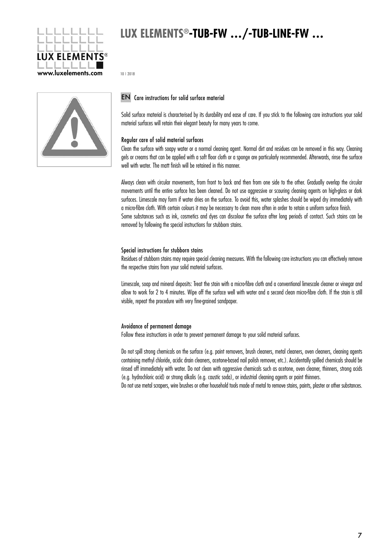

10 | 2018



### EN Care instructions for solid surface material

Solid surface material is characterised by its durability and ease of care. If you stick to the following care instructions your solid material surfaces will retain their elegant beauty for many years to come.

### Regular care of solid material surfaces

Clean the surface with soapy water or a normal cleaning agent. Normal dirt and residues can be removed in this way. Cleaning gels or creams that can be applied with a soft floor cloth or a sponge are particularly recommended. Afterwards, rinse the surface well with water. The matt finish will be retained in this manner.

Always clean with circular movements, from front to back and then from one side to the other. Gradually overlap the circular movements until the entire surface has been cleaned. Do not use aggressive or scouring cleaning agents on high-gloss or dark surfaces. Limescale may form if water dries on the surface. To avoid this, water splashes should be wiped dry immediately with a micro-fibre cloth. With certain colours it may be necessary to clean more often in order to retain a uniform surface finish. Some substances such as ink, cosmetics and dyes can discolour the surface after long periods of contact. Such stains can be removed by following the special instructions for stubborn stains.

#### Special instructions for stubborn stains

Residues of stubborn stains may require special cleaning measures. With the following care instructions you can effectively remove the respective stains from your solid material surfaces.

Limescale, soap and mineral deposits: Treat the stain with a micro-fibre cloth and a conventional limescale cleaner or vinegar and allow to work for 2 to 4 minutes. Wipe off the surface well with water and a second clean micro-fibre cloth. If the stain is still visible, repeat the procedure with very fine-grained sandpaper.

#### Avoidance of permanent damage

Follow these instructions in order to prevent permanent damage to your solid material surfaces.

Do not spill strong chemicals on the surface (e.g. paint removers, brush cleaners, metal cleaners, oven cleaners, cleaning agents containing methyl chloride, acidic drain cleaners, acetone-based nail polish remover, etc.). Accidentally spilled chemicals should be rinsed off immediately with water. Do not clean with aggressive chemicals such as acetone, oven cleaner, thinners, strong acids (e.g. hydrochloric acid) or strong alkalis (e.g. caustic soda), or industrial cleaning agents or paint thinners.

Do not use metal scrapers, wire brushes or other household tools made of metal to remove stains, paints, plaster or other substances.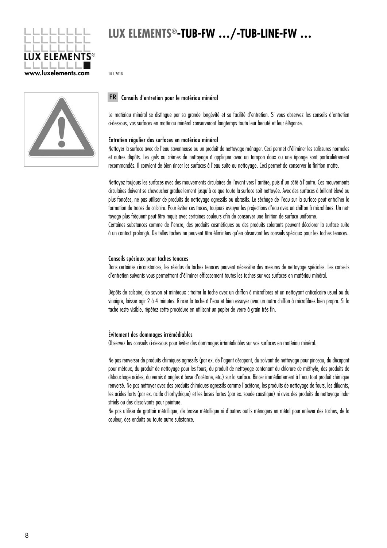

10 | 2018



### Conseils d'entretien pour le matériau minéral FR

Le matériau minéral se distingue par sa grande longévité et sa facilité d'entretien. Si vous observez les conseils d'entretien ci-dessous, vos surfaces en matériau minéral conserveront longtemps toute leur beauté et leur élégance.

### Entretien régulier des surfaces en matériau minéral

Nettoyer la surface avec de l'eau savonneuse ou un produit de nettoyage ménager. Ceci permet d'éliminer les salissures normales et autres dépôts. Les gels ou crèmes de nettoyage à appliquer avec un tampon doux ou une éponge sont particulièrement recommandés. Il convient de bien rincer les surfaces à l'eau suite au nettoyage. Ceci permet de conserver la finition matte.

Nettoyez toujours les surfaces avec des mouvements circulaires de l'avant vers l'arrière, puis d'un côté à l'autre. Ces mouvements circulaires doivent se chevaucher graduellement jusqu'à ce que toute la surface soit nettoyée. Avec des surfaces à brillant élevé ou plus foncées, ne pas utiliser de produits de nettoyage agressifs ou abrasifs. Le séchage de l'eau sur la surface peut entraîner la formation de traces de calcaire. Pour éviter ces traces, toujours essuyer les projections d'eau avec un chiffon à microfibres. Un nettoyage plus fréquent peut être requis avec certaines couleurs afin de conserver une finition de surface uniforme. Certaines substances comme de l'encre, des produits cosmétiques ou des produits colorants peuvent décolorer la surface suite à un contact prolongé. De telles taches ne peuvent être éliminées qu'en observant les conseils spéciaux pour les taches tenaces.

#### Conseils spéciaux pour taches tenaces

Dans certaines circonstances, les résidus de taches tenaces peuvent nécessiter des mesures de nettoyage spéciales. Les conseils d'entretien suivants vous permettront d'éliminer efficacement toutes les taches sur vos surfaces en matériau minéral.

Dépôts de calcaire, de savon et minéraux : traiter la tache avec un chiffon à microfibres et un nettoyant anticalcaire usuel ou du vinaigre, laisser agir 2 à 4 minutes. Rincer la tache à l'eau et bien essuyer avec un autre chiffon à microfibres bien propre. Si la tache reste visible, répétez cette procédure en utilisant un papier de verre à grain très fin.

#### Évitement des dommages irrémédiables

Observez les conseils ci-dessous pour éviter des dommages irrémédiables sur vos surfaces en matériau minéral.

Ne pas renverser de produits chimiques agressifs (par ex. de l'agent décapant, du solvant de nettoyage pour pinceau, du décapant pour métaux, du produit de nettoyage pour les fours, du produit de nettoyage contenant du chlorure de méthyle, des produits de débouchage acides, du vernis à ongles à base d'acétone, etc.) sur la surface. Rincer immédiatement à l'eau tout produit chimique renversé. Ne pas nettoyer avec des produits chimiques agressifs comme l'acétone, les produits de nettoyage de fours, les diluants, les acides forts (par ex. acide chlorhydrique) et les bases fortes (par ex. soude caustique) ni avec des produits de nettoyage industriels ou des dissolvants pour peinture.

Ne pas utiliser de grattoir métallique, de brosse métallique ni d'autres outils ménagers en métal pour enlever des taches, de la couleur, des enduits ou toute autre substance.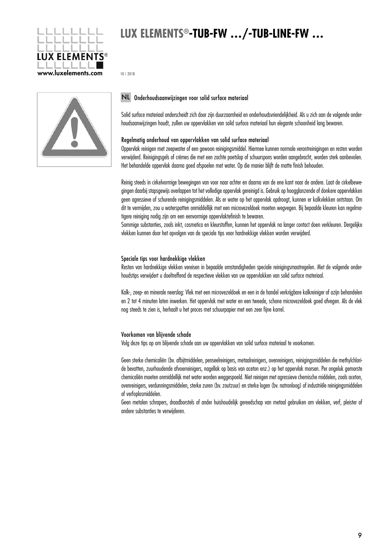

10 | 2018



### NL Onderhoudsaanwijzingen voor solid surface materiaal

Solid surface materiaal onderscheidt zich door zijn duurzaamheid en onderhoudsvriendelijkheid. Als u zich aan de volgende onderhoudsaanwijzingen houdt, zullen uw oppervlakken van solid surface materiaal hun elegante schoonheid lang bewaren.

### Regelmatig onderhoud van oppervlakken van solid surface materiaal

Oppervlak reinigen met zeepwater of een gewoon reinigingsmiddel. Hiermee kunnen normale verontreinigingen en resten worden verwijderd. Reinigingsgels of crèmes die met een zachte poetslap of schuurspons worden aangebracht, worden sterk aanbevolen. Het behandelde oppervlak daarna goed afspoelen met water. Op die manier blijft de matte finish behouden.

Reinig steeds in cirkelvormige bewegingen van voor naar achter en daarna van de ene kant naar de andere. Laat de cirkelbewegingen daarbij stapsgewijs overlappen tot het volledige oppervlak gereinigd is. Gebruik op hoogglanzende of donkere oppervlakken geen agressieve of schurende reinigingsmiddelen. Als er water op het oppervlak opdroogt, kunnen er kalkvlekken ontstaan. Om dit te vermijden, zou u waterspatten onmiddellijk met een microvezeldoek moeten wegvegen. Bij bepaalde kleuren kan regelmatigere reiniging nodig zijn om een eenvormige oppervlaktefinish te bewaren.

Sommige substanties, zoals inkt, cosmetica en kleurstoffen, kunnen het oppervlak na langer contact doen verkleuren. Dergelijke vlekken kunnen door het opvolgen van de speciale tips voor hardnekkige vlekken worden verwijderd.

#### Speciale tips voor hardnekkige vlekken

Resten van hardnekkige vlekken vereisen in bepaalde omstandigheden speciale reinigingsmaatregelen. Met de volgende onderhoudstips verwijdert u doeltreffend de respectieve vlekken van uw oppervlakken van solid surface materiaal.

Kalk-, zeep- en minerale neerslag: Vlek met een microvezeldoek en een in de handel verkrijgbare kalkreiniger of azijn behandelen en 2 tot 4 minuten laten inwerken. Het oppervlak met water en een tweede, schone microvezeldoek goed afvegen. Als de vlek nog steeds te zien is, herhaalt u het proces met schuurpapier met een zeer fijne korrel.

#### Voorkomen van blijvende schade

Volg deze tips op om blijvende schade aan uw oppervlakken van solid surface materiaal te voorkomen.

Geen sterke chemicaliën (bv. afbijtmiddelen, penseelreinigers, metaalreinigers, ovenreinigers, reinigingsmiddelen die methylchloride bevatten, zuurhoudende afvoerreinigers, nagellak op basis van aceton enz.) op het oppervlak morsen. Per ongeluk gemorste chemicaliën moeten onmiddellijk met water worden weggespoeld. Niet reinigen met agressieve chemische middelen, zoals aceton, ovenreinigers, verdunningsmiddelen, sterke zuren (bv. zoutzuur) en sterke logen (bv. natronloog) of industriële reinigingsmiddelen of verfoplosmiddelen.

Geen metalen schrapers, draadborstels of ander huishoudelijk gereedschap van metaal gebruiken om vlekken, verf, pleister of andere substanties te verwijderen.